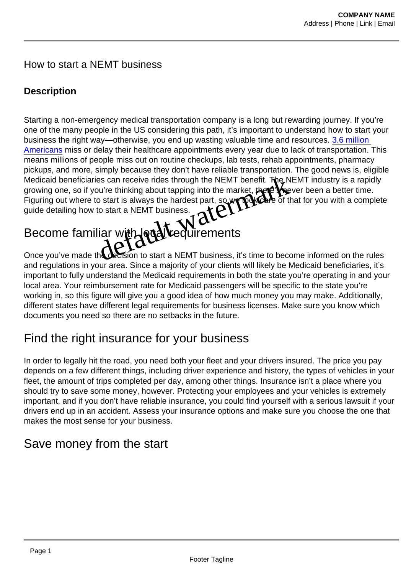#### How to start a NEMT business

#### **Description**

Starting a non-emergency medical transportation company is a long but rewarding journey. If you're one of the many people in the US considering this path, it's important to understand how to start your business the right way—otherwise, you end up wasting valuable time and resources. [3.6 million](https://storymaps.arcgis.com/stories/20ac1b3957f445d5a6db0a0db2a58f64)  Americans miss or delay their healthcare appointments every year due to lack of transportation. This means millions of people miss out on routine checkups, lab tests, rehab appointments, pharmacy pickups, and more, simply because they don't have reliable transportation. The good news is, eligible Medicaid beneficiaries can receive rides through the NEMT benefit. The NEMT industry is a rapidly growing one, so if you're thinking about tapping into the market, there's never been a better time. Figuring out where to start is always the hardest part, so we to kk care of that for you with a complete guide detailing how to start a NEMT business. Simply because they don't have reliable transportation. The<br>es can receive rides through the NEMT benefit. The Main<br>bu're thinking about tapping into the market that  $\frac{1}{2}$ <br>co start is always the hardest part, so with t

# Become familiar with Araveuirements

Once you've made the decision to start a NEMT business, it's time to become informed on the rules and regulations in your area. Since a majority of your clients will likely be Medicaid beneficiaries, it's important to fully understand the Medicaid requirements in both the state you're operating in and your local area. Your reimbursement rate for Medicaid passengers will be specific to the state you're working in, so this figure will give you a good idea of how much money you may make. Additionally, different states have different legal requirements for business licenses. Make sure you know which documents you need so there are no setbacks in the future.

## Find the right insurance for your business

In order to legally hit the road, you need both your fleet and your drivers insured. The price you pay depends on a few different things, including driver experience and history, the types of vehicles in your fleet, the amount of trips completed per day, among other things. Insurance isn't a place where you should try to save some money, however. Protecting your employees and your vehicles is extremely important, and if you don't have reliable insurance, you could find yourself with a serious lawsuit if your drivers end up in an accident. Assess your insurance options and make sure you choose the one that makes the most sense for your business.

### Save money from the start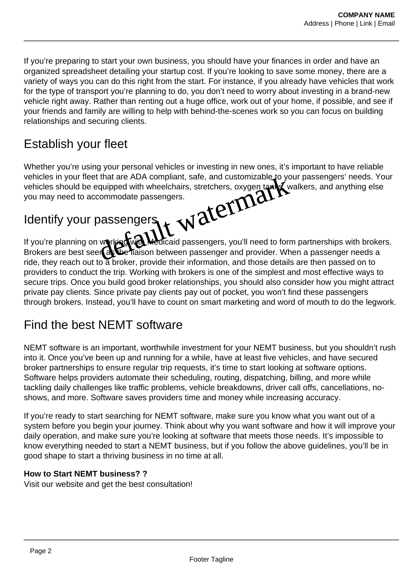If you're preparing to start your own business, you should have your finances in order and have an organized spreadsheet detailing your startup cost. If you're looking to save some money, there are a variety of ways you can do this right from the start. For instance, if you already have vehicles that work for the type of transport you're planning to do, you don't need to worry about investing in a brand-new vehicle right away. Rather than renting out a huge office, work out of your home, if possible, and see if your friends and family are willing to help with behind-the-scenes work so you can focus on building relationships and securing clients.

## Establish your fleet

Whether you're using your personal vehicles or investing in new ones, it's important to have reliable vehicles in your fleet that are ADA compliant, safe, and customizable to your passengers' needs. Your vehicles should be equipped with wheelchairs, stretchers, oxygen tanks, walkers, and anything else you may need to accommodate passengers. That are ADA compliant, safe, and customizable to you<br>quipped with wheelchairs, stretchers, oxygen tanks working<br>commodate passengers.<br>Dassengers was also assengers, you'll need to form<br>or the traison between passenger and

## Identify your passengers

If you're planning on working with Medicaid passengers, you'll need to form partnerships with brokers. Brokers are best seen as the liaison between passenger and provider. When a passenger needs a ride, they reach out to a broker, provide their information, and those details are then passed on to providers to conduct the trip. Working with brokers is one of the simplest and most effective ways to secure trips. Once you build good broker relationships, you should also consider how you might attract private pay clients. Since private pay clients pay out of pocket, you won't find these passengers through brokers. Instead, you'll have to count on smart marketing and word of mouth to do the legwork.

#### Find the best NEMT software

NEMT software is an important, worthwhile investment for your NEMT business, but you shouldn't rush into it. Once you've been up and running for a while, have at least five vehicles, and have secured broker partnerships to ensure regular trip requests, it's time to start looking at software options. Software helps providers automate their scheduling, routing, dispatching, billing, and more while tackling daily challenges like traffic problems, vehicle breakdowns, driver call offs, cancellations, noshows, and more. Software saves providers time and money while increasing accuracy.

If you're ready to start searching for NEMT software, make sure you know what you want out of a system before you begin your journey. Think about why you want software and how it will improve your daily operation, and make sure you're looking at software that meets those needs. It's impossible to know everything needed to start a NEMT business, but if you follow the above guidelines, you'll be in good shape to start a thriving business in no time at all.

#### **How to Start NEMT business? ?**

Visit our website and get the best consultation!